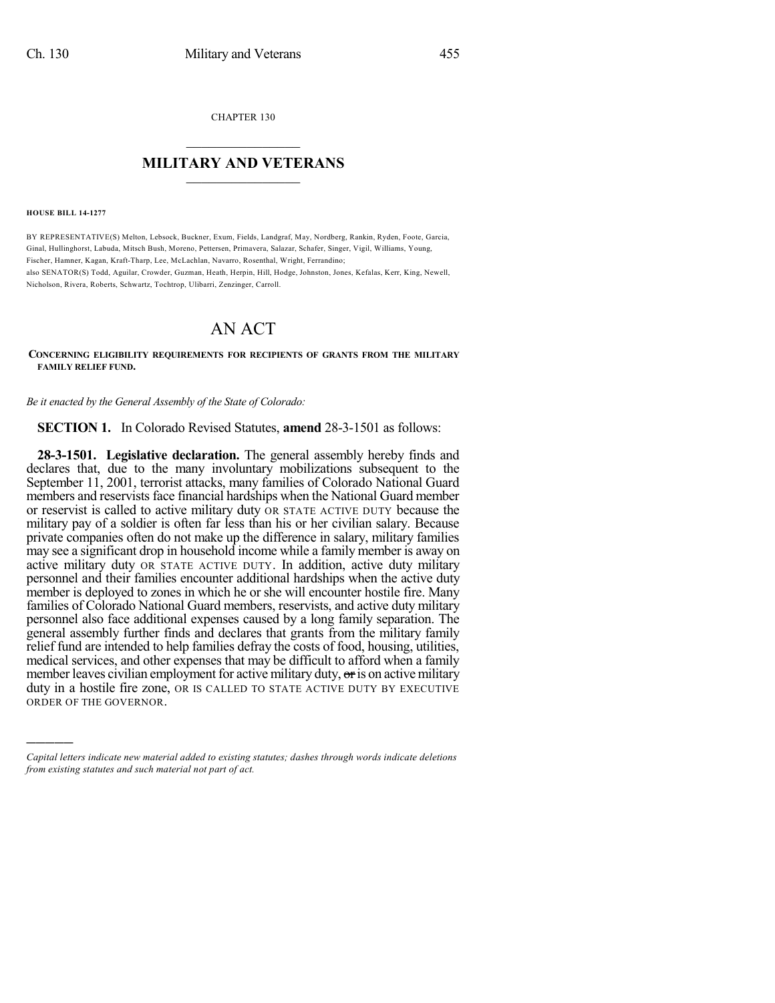CHAPTER 130

## $\overline{\phantom{a}}$  . The set of the set of the set of the set of the set of the set of the set of the set of the set of the set of the set of the set of the set of the set of the set of the set of the set of the set of the set o **MILITARY AND VETERANS**  $\frac{1}{2}$  ,  $\frac{1}{2}$  ,  $\frac{1}{2}$  ,  $\frac{1}{2}$  ,  $\frac{1}{2}$  ,  $\frac{1}{2}$  ,  $\frac{1}{2}$

**HOUSE BILL 14-1277**

)))))

BY REPRESENTATIVE(S) Melton, Lebsock, Buckner, Exum, Fields, Landgraf, May, Nordberg, Rankin, Ryden, Foote, Garcia, Ginal, Hullinghorst, Labuda, Mitsch Bush, Moreno, Pettersen, Primavera, Salazar, Schafer, Singer, Vigil, Williams, Young, Fischer, Hamner, Kagan, Kraft-Tharp, Lee, McLachlan, Navarro, Rosenthal, Wright, Ferrandino; also SENATOR(S) Todd, Aguilar, Crowder, Guzman, Heath, Herpin, Hill, Hodge, Johnston, Jones, Kefalas, Kerr, King, Newell, Nicholson, Rivera, Roberts, Schwartz, Tochtrop, Ulibarri, Zenzinger, Carroll.

## AN ACT

**CONCERNING ELIGIBILITY REQUIREMENTS FOR RECIPIENTS OF GRANTS FROM THE MILITARY FAMILY RELIEF FUND.**

*Be it enacted by the General Assembly of the State of Colorado:*

**SECTION 1.** In Colorado Revised Statutes, **amend** 28-3-1501 as follows:

**28-3-1501. Legislative declaration.** The general assembly hereby finds and declares that, due to the many involuntary mobilizations subsequent to the September 11, 2001, terrorist attacks, many families of Colorado National Guard members and reservists face financial hardships when the National Guard member or reservist is called to active military duty OR STATE ACTIVE DUTY because the military pay of a soldier is often far less than his or her civilian salary. Because private companies often do not make up the difference in salary, military families may see a significant drop in household income while a family member is away on active military duty OR STATE ACTIVE DUTY. In addition, active duty military personnel and their families encounter additional hardships when the active duty member is deployed to zones in which he or she will encounter hostile fire. Many families of Colorado National Guard members, reservists, and active duty military personnel also face additional expenses caused by a long family separation. The general assembly further finds and declares that grants from the military family relief fund are intended to help families defray the costs of food, housing, utilities, medical services, and other expenses that may be difficult to afford when a family member leaves civilian employment for active military duty,  $\sigma$  is on active military duty in a hostile fire zone, OR IS CALLED TO STATE ACTIVE DUTY BY EXECUTIVE ORDER OF THE GOVERNOR.

*Capital letters indicate new material added to existing statutes; dashes through words indicate deletions from existing statutes and such material not part of act.*